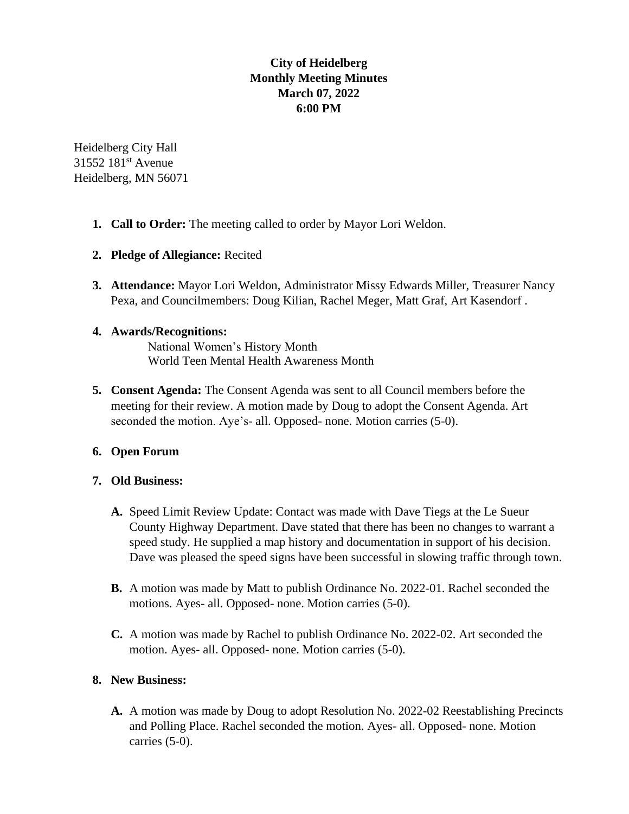## **City of Heidelberg Monthly Meeting Minutes March 07, 2022 6:00 PM**

Heidelberg City Hall 31552 181<sup>st</sup> Avenue Heidelberg, MN 56071

- **1. Call to Order:** The meeting called to order by Mayor Lori Weldon.
- **2. Pledge of Allegiance:** Recited
- **3. Attendance:** Mayor Lori Weldon, Administrator Missy Edwards Miller, Treasurer Nancy Pexa, and Councilmembers: Doug Kilian, Rachel Meger, Matt Graf, Art Kasendorf .

#### **4. Awards/Recognitions:**

National Women's History Month World Teen Mental Health Awareness Month

**5. Consent Agenda:** The Consent Agenda was sent to all Council members before the meeting for their review. A motion made by Doug to adopt the Consent Agenda. Art seconded the motion. Aye's- all. Opposed- none. Motion carries (5-0).

### **6. Open Forum**

#### **7. Old Business:**

- **A.** Speed Limit Review Update: Contact was made with Dave Tiegs at the Le Sueur County Highway Department. Dave stated that there has been no changes to warrant a speed study. He supplied a map history and documentation in support of his decision. Dave was pleased the speed signs have been successful in slowing traffic through town.
- **B.** A motion was made by Matt to publish Ordinance No. 2022-01. Rachel seconded the motions. Ayes- all. Opposed- none. Motion carries (5-0).
- **C.** A motion was made by Rachel to publish Ordinance No. 2022-02. Art seconded the motion. Ayes- all. Opposed- none. Motion carries (5-0).

#### **8. New Business:**

**A.** A motion was made by Doug to adopt Resolution No. 2022-02 Reestablishing Precincts and Polling Place. Rachel seconded the motion. Ayes- all. Opposed- none. Motion carries (5-0).